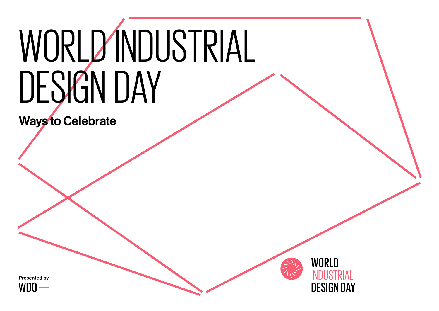# WORLD INDUSTRIAL DESIGN DAY

Ways to Celebrate



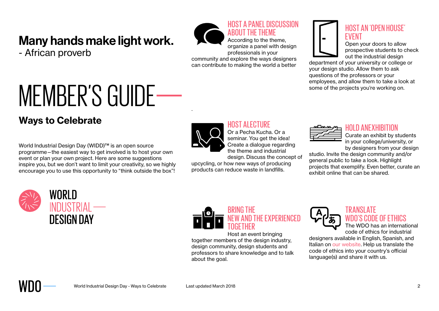## Many hands make light work.

- African proverb



ABOUT THE THEME According to the theme, organize a panel with design professionals in your community and explore the ways designers

HOST A PANEL DISCUSSION

can contribute to making the world a better

## HOST AN 'OPEN HOUSE' EVENT

Open your doors to allow prospective students to check out the industrial design

department of your university or college or your design studio. Allow them to ask questions of the professors or your employees, and allow them to take a look at some of the projects you're working on.

## **Ways to Celebrate**

World Industrial Design Day (WIDD)™ is an open source programme—the easiest way to get involved is to host your own event or plan your own project. Here are some suggestions inspire you, but we don't want to limit your creativity, so we highly encourage you to use this opportunity to "think outside the box"!

MEMBER'S GUIDE



.

#### **HOST ALECTURE**

design. Discuss the concept of



#### HOLD ANEXHIBITION

Curate an exhibit by students in your college/university, or by designers from your design

studio. Invite the design community and/or general public to take a look. Highlight projects that exemplify. Even better, curate an exhibit online that can be shared.





upcycling, or how new ways of producing products can reduce waste in landfills.

Host an event bringing together members of the design industry, design community, design students and professors to share knowledge and to talk about the goal.



#### TRANSLATE WDO'S CODE OF ETHICS

The WDO has an international code of ethics for industrial

designers available in English, Spanish, and Italian on our website. Help us translate the code of ethics into your country's official language(s) and share it with us.

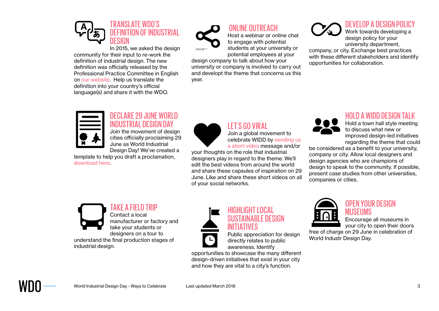

In 2015, we asked the design community for their input to re-work the definition of industrial design. The new definition was officially released by the Professional Practice Committee in English on our website. Help us translate the definition into your country's official language(s) and share it with the WDO.



#### ONLINE OUTREACH

Host a webinar or online chat to engage with potential students at your university or potential employees at your

design company to talk about how your university or company is involved to carry out and developt the theme that concerns us this year.

## DEVELOP A DESIGN POLICY

Work towards developing a design policy for your university department,

company, or city. Exchange best practices with these different stakeholders and identify opportunities for collaboration.



#### DECLARE 29 JUNE WORLD INDUSTRIAL DESIGN DAY

Join the movement of design cities officially proclaiming 29 June as World Industrial Design Day! We've created a

template to help you draft a proclamation, download here.



#### LET'S GO VIRAL

Join a global movement to celebrate WIDD by sending us a short video message and/or

your thoughts on the role that industrial designers play in regard to the theme. We'll edit the best videos from around the world and share these capsules of inspiration on 29 June. Like and share these short videos on all of your social networks.



#### HOLD A WIDD DESIGN TALK

Hold a town hall style meeting to discuss what new or improved design-led initiatives regarding the theme that could

be considered as a benefit to your university, company or city. Allow local designers and design agencies who are champions of design to speak to the community. If possible, present case studies from other universities, companies or cities.



## TAKE A FIELD TRIP

Contact a local manufacturer or factory and take your students or designers on a tour to understand the final production stages of industrial design.



#### HIGHLIGHT LOCAL SUSTAINABLE DESIGN INITIATIVES

Public appreciation for design directly relates to public awareness. Identify

opportunities to showcase the many different design-driven initiatives that exist in your city and how they are vital to a city's function.



#### OPEN YOUR DESIGN MUSEUMS

Encourage all museums in your city to open their doors

free of charge on 29 June in celebration of World Industr Design Day.